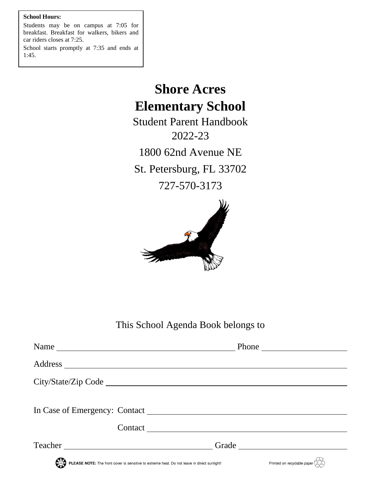# **School Hours:**

Students may be on campus at 7:05 for breakfast. Breakfast for walkers, bikers and car riders closes at 7:25.

School starts promptly at 7:35 and ends at 1:45.

# **Shore Acres Elementary School**

Student Parent Handbook 2022-23 1800 62nd Avenue NE St. Petersburg, FL 33702 727-570-3173



This School Agenda Book belongs to

| Name                                                                                        |                                                                      |  |
|---------------------------------------------------------------------------------------------|----------------------------------------------------------------------|--|
|                                                                                             |                                                                      |  |
|                                                                                             |                                                                      |  |
|                                                                                             |                                                                      |  |
|                                                                                             |                                                                      |  |
|                                                                                             |                                                                      |  |
| Teacher<br><u> 1989 - John Stein, Amerikaansk politiker (</u>                               | Grade                                                                |  |
| PLEASE NOTE: The front cover is sensitive to extreme heat. Do not leave in direct sunlight! | Printed on recyclable paper $\overline{\left\langle \right\rangle }$ |  |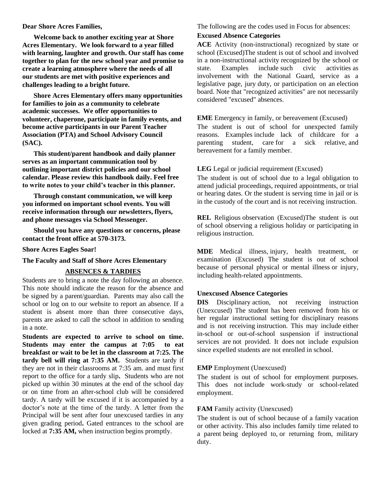#### **Dear Shore Acres Families,**

**Welcome back to another exciting year at Shore Acres Elementary. We look forward to a year filled with learning, laughter and growth. Our staff has come together to plan for the new school year and promise to create a learning atmosphere where the needs of all our students are met with positive experiences and challenges leading to a bright future.** 

**Shore Acres Elementary offers many opportunities for families to join as a community to celebrate academic successes. We offer opportunities to volunteer, chaperone, participate in family events, and become active participants in our Parent Teacher Association (PTA) and School Advisory Council (SAC).** 

**This student/parent handbook and daily planner serves as an important communication tool by outlining important district policies and our school calendar. Please review this handbook daily. Feel free to write notes to your child's teacher in this planner.**

**Through constant communication, we will keep you informed on important school events. You will receive information through our newsletters, flyers, and phone messages via School Messenger.**

**Should you have any questions or concerns, please contact the front office at 570-3173.**

**Shore Acres Eagles Soar!**

#### **The Faculty and Staff of Shore Acres Elementary**

# **ABSENCES & TARDIES**

Students are to bring a note the day following an absence. This note should indicate the reason for the absence and be signed by a parent/guardian. Parents may also call the school or log on to our website to report an absence. If a student is absent more than three consecutive days, parents are asked to call the school in addition to sending in a note.

**Students are expected to arrive to school on time. Students may enter the campus at 7:05 to eat breakfast or wait to be let in the classroom at 7:25. The tardy bell will ring at 7:35 AM.** Students are tardy if they are not in their classrooms at 7:35 am. and must first report to the office for a tardy slip**.** Students who are not picked up within 30 minutes at the end of the school day or on time from an after-school club will be considered tardy. A tardy will be excused if it is accompanied by a doctor's note at the time of the tardy. A letter from the Principal will be sent after four unexcused tardies in any given grading period**.** Gated entrances to the school are locked at **7:35 AM,** when instruction begins promptly.

The following are the codes used in Focus for absences:

## **Excused Absence Categories**

**ACE** Activity (non-instructional) recognized by state or school (Excused)The student is out of school and involved in a non-instructional activity recognized by the school or state. Examples include such civic activities as involvement with the National Guard, service as a legislative page, jury duty, or participation on an election board. Note that "recognized activities" are not necessarily considered "excused" absences.

#### **EME** Emergency in family, or bereavement (Excused)

The student is out of school for unexpected family reasons. Examples include lack of childcare for a parenting student, care for a sick relative, and bereavement for a family member.

# **LEG** Legal or judicial requirement (Excused)

The student is out of school due to a legal obligation to attend judicial proceedings, required appointments, or trial or hearing dates. Or the student is serving time in jail or is in the custody of the court and is not receiving instruction.

**REL** Religious observation (Excused)The student is out of school observing a religious holiday or participating in religious instruction.

**MDE** Medical illness, injury, health treatment, or examination (Excused) The student is out of school because of personal physical or mental illness or injury, including health-related appointments.

#### **Unexcused Absence Categories**

**DIS** Disciplinary action, not receiving instruction (Unexcused) The student has been removed from his or her regular instructional setting for disciplinary reasons and is not receiving instruction. This may include either in-school or out-of-school suspension if instructional services are not provided. It does not include expulsion since expelled students are not enrolled in school.

#### **EMP** Employment (Unexcused)

The student is out of school for employment purposes. This does not include work-study or school-related employment.

#### **FAM** Family activity (Unexcused)

The student is out of school because of a family vacation or other activity. This also includes family time related to a parent being deployed to, or returning from, military duty.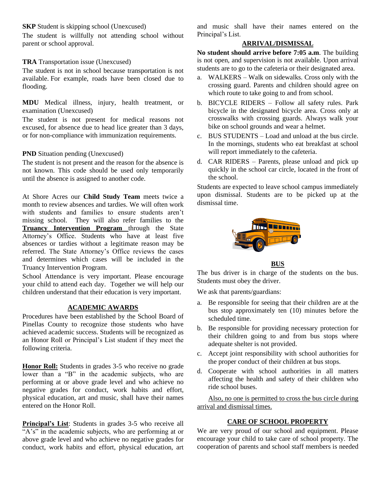# **SKP** Student is skipping school (Unexcused)

The student is willfully not attending school without parent or school approval.

# **TRA** Transportation issue (Unexcused)

The student is not in school because transportation is not available. For example, roads have been closed due to flooding.

**MDU** Medical illness, injury, health treatment, or examination (Unexcused)

The student is not present for medical reasons not excused, for absence due to head lice greater than 3 days, or for non-compliance with immunization requirements.

# **PND** Situation pending (Unexcused)

The student is not present and the reason for the absence is not known. This code should be used only temporarily until the absence is assigned to another code.

At Shore Acres our **Child Study Team** meets twice a month to review absences and tardies. We will often work with students and families to ensure students aren't missing school. They will also refer families to the **Truancy Intervention Program** through the State Attorney's Office. Students who have at least five absences or tardies without a legitimate reason may be referred. The State Attorney's Office reviews the cases and determines which cases will be included in the Truancy Intervention Program.

School Attendance is very important. Please encourage your child to attend each day. Together we will help our children understand that their education is very important.

# **ACADEMIC AWARDS**

Procedures have been established by the School Board of Pinellas County to recognize those students who have achieved academic success. Students will be recognized as an Honor Roll or Principal's List student if they meet the following criteria.

**Honor Roll:** Students in grades 3-5 who receive no grade lower than a "B" in the academic subjects, who are performing at or above grade level and who achieve no negative grades for conduct, work habits and effort, physical education, art and music, shall have their names entered on the Honor Roll.

**Principal's List**: Students in grades 3-5 who receive all "A's" in the academic subjects, who are performing at or above grade level and who achieve no negative grades for conduct, work habits and effort, physical education, art and music shall have their names entered on the Principal's List.

# **ARRIVAL/DISMISSAL**

**No student should arrive before 7:05 a.m**. The building is not open, and supervision is not available. Upon arrival students are to go to the cafeteria or their designated area.

- a. WALKERS Walk on sidewalks. Cross only with the crossing guard. Parents and children should agree on which route to take going to and from school.
- b. BICYCLE RIDERS Follow all safety rules. Park bicycle in the designated bicycle area. Cross only at crosswalks with crossing guards. Always walk your bike on school grounds and wear a helmet.
- c. BUS STUDENTS Load and unload at the bus circle. In the mornings, students who eat breakfast at school will report immediately to the cafeteria.
- d. CAR RIDERS Parents, please unload and pick up quickly in the school car circle, located in the front of the school.

Students are expected to leave school campus immediately upon dismissal. Students are to be picked up at the dismissal time.



#### **BUS**

The bus driver is in charge of the students on the bus. Students must obey the driver.

We ask that parents/guardians:

- a. Be responsible for seeing that their children are at the bus stop approximately ten (10) minutes before the scheduled time.
- b. Be responsible for providing necessary protection for their children going to and from bus stops where adequate shelter is not provided.
- c. Accept joint responsibility with school authorities for the proper conduct of their children at bus stops.
- d. Cooperate with school authorities in all matters affecting the health and safety of their children who ride school buses.

Also, no one is permitted to cross the bus circle during arrival and dismissal times.

# **CARE OF SCHOOL PROPERTY**

We are very proud of our school and equipment. Please encourage your child to take care of school property. The cooperation of parents and school staff members is needed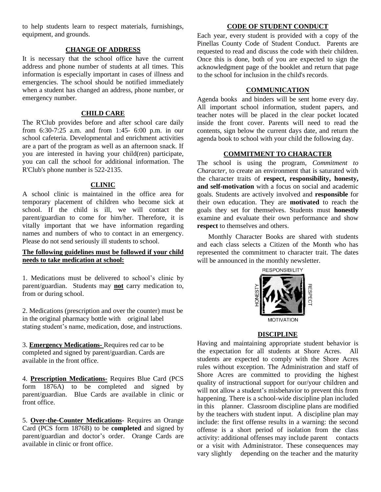to help students learn to respect materials, furnishings, equipment, and grounds.

# **CHANGE OF ADDRESS**

It is necessary that the school office have the current address and phone number of students at all times. This information is especially important in cases of illness and emergencies. The school should be notified immediately when a student has changed an address, phone number, or emergency number.

# **CHILD CARE**

The R'Club provides before and after school care daily from 6:30-7:25 a.m. and from 1:45- 6:00 p.m. in our school cafeteria. Developmental and enrichment activities are a part of the program as well as an afternoon snack. If you are interested in having your child(ren) participate, you can call the school for additional information. The R'Club's phone number is 522-2135.

# **CLINIC**

A school clinic is maintained in the office area for temporary placement of children who become sick at school. If the child is ill, we will contact the parent/guardian to come for him/her. Therefore, it is vitally important that we have information regarding names and numbers of who to contact in an emergency. Please do not send seriously ill students to school.

# **The following guidelines must be followed if your child needs to take medication at school:**

1. Medications must be delivered to school's clinic by parent/guardian. Students may **not** carry medication to, from or during school.

2. Medications (prescription and over the counter) must be in the original pharmacy bottle with original label stating student's name, medication, dose, and instructions.

3. **Emergency Medications-** Requires red car to be completed and signed by parent/guardian. Cards are available in the front office.

4. **Prescription Medications-** Requires Blue Card (PCS form 1876A) to be completed and signed by parent/guardian. Blue Cards are available in clinic or front office.

5. **Over-the-Counter Medications-** Requires an Orange Card (PCS form 1876B) to be **completed** and signed by parent/guardian and doctor's order. Orange Cards are available in clinic or front office.

#### **CODE OF STUDENT CONDUCT**

Each year, every student is provided with a copy of the Pinellas County Code of Student Conduct. Parents are requested to read and discuss the code with their children. Once this is done, both of you are expected to sign the acknowledgment page of the booklet and return that page to the school for inclusion in the child's records.

### **COMMUNICATION**

Agenda books and binders will be sent home every day. All important school information, student papers, and teacher notes will be placed in the clear pocket located inside the front cover. Parents will need to read the contents, sign below the current days date, and return the agenda book to school with your child the following day.

# **COMMITMENT TO CHARACTER**

The school is using the program, *Commitment to Character,* to create an environment that is saturated with the character traits of **respect, responsibility, honesty, and self-motivation** with a focus on social and academic goals. Students are actively involved and **responsible** for their own education. They are **motivated** to reach the goals they set for themselves. Students must **honestly** examine and evaluate their own performance and show **respect** to themselves and others.

Monthly Character Books are shared with students and each class selects a Citizen of the Month who has represented the commitment to character trait. The dates will be announced in the monthly newsletter.



#### **DISCIPLINE**

Having and maintaining appropriate student behavior is the expectation for all students at Shore Acres. All students are expected to comply with the Shore Acres rules without exception. The Administration and staff of Shore Acres are committed to providing the highest quality of instructional support for our/your children and will not allow a student's misbehavior to prevent this from happening. There is a school-wide discipline plan included in this planner. Classroom discipline plans are modified by the teachers with student input. A discipline plan may include: the first offense results in a warning: the second offense is a short period of isolation from the class activity: additional offenses may include parent contacts or a visit with Administrator. These consequences may vary slightly depending on the teacher and the maturity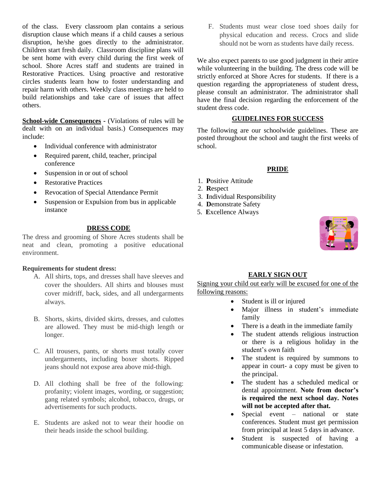of the class. Every classroom plan contains a serious disruption clause which means if a child causes a serious disruption, he/she goes directly to the administrator. Children start fresh daily. Classroom discipline plans will be sent home with every child during the first week of school. Shore Acres staff and students are trained in Restorative Practices. Using proactive and restorative circles students learn how to foster understanding and repair harm with others. Weekly class meetings are held to build relationships and take care of issues that affect others.

**School-wide Consequences -** (Violations of rules will be dealt with on an individual basis.) Consequences may include:

- Individual conference with administrator
- Required parent, child, teacher, principal conference
- Suspension in or out of school
- Restorative Practices
- Revocation of Special Attendance Permit
- Suspension or Expulsion from bus in applicable instance

# **DRESS CODE**

The dress and grooming of Shore Acres students shall be neat and clean, promoting a positive educational environment.

#### **Requirements for student dress:**

- A. All shirts, tops, and dresses shall have sleeves and cover the shoulders. All shirts and blouses must cover midriff, back, sides, and all undergarments always.
- B. Shorts, skirts, divided skirts, dresses, and culottes are allowed. They must be mid-thigh length or longer.
- C. All trousers, pants, or shorts must totally cover undergarments, including boxer shorts. Ripped jeans should not expose area above mid-thigh.
- D. All clothing shall be free of the following: profanity; violent images, wording, or suggestion; gang related symbols; alcohol, tobacco, drugs, or advertisements for such products.
- E. Students are asked not to wear their hoodie on their heads inside the school building.

F. Students must wear close toed shoes daily for physical education and recess. Crocs and slide should not be worn as students have daily recess.

We also expect parents to use good judgment in their attire while volunteering in the building. The dress code will be strictly enforced at Shore Acres for students.If there is a question regarding the appropriateness of student dress, please consult an administrator. The administrator shall have the final decision regarding the enforcement of the student dress code.

# **GUIDELINES FOR SUCCESS**

The following are our schoolwide guidelines. These are posted throughout the school and taught the first weeks of school.

#### **PRIDE**

- 1. **P**ositive Attitude
- 2. **R**espect
- 3. **I**ndividual Responsibility
- 4. **D**emonstrate Safety
- 5. **E**xcellence Always



# **EARLY SIGN OUT**

Signing your child out early will be excused for one of the following reasons:

- Student is ill or injured
- Major illness in student's immediate family
- There is a death in the immediate family
- The student attends religious instruction or there is a religious holiday in the student's own faith
- The student is required by summons to appear in court- a copy must be given to the principal.
- The student has a scheduled medical or dental appointment. **Note from doctor's is required the next school day. Notes will not be accepted after that.**
- Special event national or state conferences. Student must get permission from principal at least 5 days in advance.
- Student is suspected of having a communicable disease or infestation.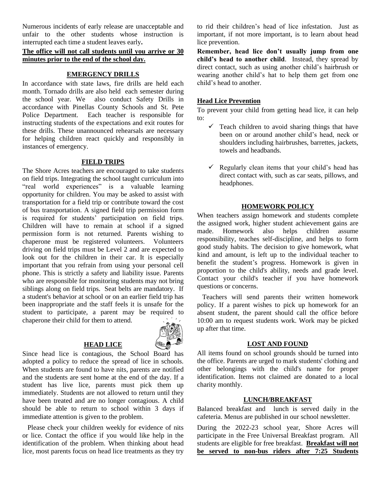Numerous incidents of early release are unacceptable and unfair to the other students whose instruction is interrupted each time a student leaves early**.** 

# **The office will not call students until you arrive or 30 minutes prior to the end of the school day.**

# **EMERGENCY DRILLS**

In accordance with state laws, fire drills are held each month. Tornado drills are also held each semester during the school year. We also conduct Safety Drills in accordance with Pinellas County Schools and St. Pete Police Department. Each teacher is responsible for instructing students of the expectations and exit routes for these drills. These unannounced rehearsals are necessary for helping children react quickly and responsibly in instances of emergency.

# **FIELD TRIPS**

The Shore Acres teachers are encouraged to take students on field trips. Integrating the school taught curriculum into "real world experiences" is a valuable learning opportunity for children. You may be asked to assist with transportation for a field trip or contribute toward the cost of bus transportation. A signed field trip permission form is required for students' participation on field trips. Children will have to remain at school if a signed permission form is not returned. Parents wishing to chaperone must be registered volunteers. Volunteers driving on field trips must be Level 2 and are expected to look out for the children in their car. It is especially important that you refrain from using your personal cell phone. This is strictly a safety and liability issue. Parents who are responsible for monitoring students may not bring siblings along on field trips. Seat belts are mandatory. If a student's behavior at school or on an earlier field trip has been inappropriate and the staff feels it is unsafe for the student to participate, a parent may be required to chaperone their child for them to attend.

# **HEAD LICE**



Since head lice is contagious, the School Board has adopted a policy to reduce the spread of lice in schools. When students are found to have nits, parents are notified and the students are sent home at the end of the day. If a student has live lice, parents must pick them up immediately. Students are not allowed to return until they have been treated and are no longer contagious. A child should be able to return to school within 3 days if immediate attention is given to the problem.

 Please check your children weekly for evidence of nits or lice. Contact the office if you would like help in the identification of the problem. When thinking about head lice, most parents focus on head lice treatments as they try to rid their children's head of lice infestation. Just as important, if not more important, is to learn about head lice prevention.

**Remember, head lice don't usually jump from one child's head to another child**. Instead, they spread by direct contact, such as using another child's hairbrush or wearing another child's hat to help them get from one child's head to another.

#### **Head Lice Prevention**

To prevent your child from getting head lice, it can help to:

- $\checkmark$  Teach children to avoid sharing things that have been on or around another child's head, neck or shoulders including hairbrushes, barrettes, jackets, towels and headbands.
- $\checkmark$  Regularly clean items that your child's head has direct contact with, such as car seats, pillows, and headphones.

#### **HOMEWORK POLICY**

When teachers assign homework and students complete the assigned work, higher student achievement gains are made. Homework also helps children assume responsibility, teaches self-discipline, and helps to form good study habits. The decision to give homework, what kind and amount, is left up to the individual teacher to benefit the student's progress. Homework is given in proportion to the child's ability, needs and grade level. Contact your child's teacher if you have homework questions or concerns.

 Teachers will send parents their written homework policy. If a parent wishes to pick up homework for an absent student, the parent should call the office before 10:00 am to request students work. Work may be picked up after that time.

#### **LOST AND FOUND**

All items found on school grounds should be turned into the office. Parents are urged to mark students' clothing and other belongings with the child's name for proper identification. Items not claimed are donated to a local charity monthly.

# **LUNCH/BREAKFAST**

Balanced breakfast and lunch is served daily in the cafeteria. Menus are published in our school newsletter.

During the 2022-23 school year, Shore Acres will participate in the Free Universal Breakfast program. All students are eligible for free breakfast. **Breakfast will not be served to non-bus riders after 7:25 Students**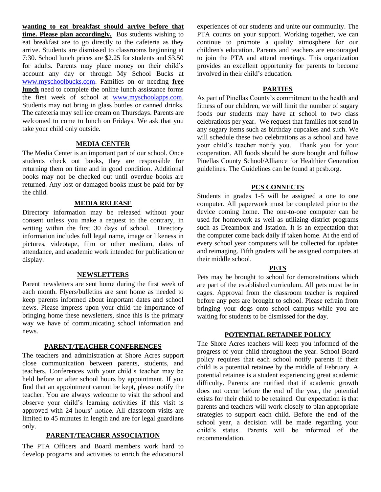**wanting to eat breakfast should arrive before that time. Please plan accordingly.** Bus students wishing to eat breakfast are to go directly to the cafeteria as they arrive. Students are dismissed to classrooms beginning at 7:30. School lunch prices are \$2.25 for students and \$3.50 for adults. Parents may place money on their child's account any day or through My School Bucks at [www.myschoolbucks.com.](http://www.myschoolbucks.com/) Families on or needing **free lunch** need to complete the online lunch assistance forms the first week of school at [www.myschoolapps.com.](http://www.myschoolapps.com/) Students may not bring in glass bottles or canned drinks. The cafeteria may sell ice cream on Thursdays. Parents are welcomed to come to lunch on Fridays. We ask that you take your child only outside.

# **MEDIA CENTER**

The Media Center is an important part of our school. Once students check out books, they are responsible for returning them on time and in good condition. Additional books may not be checked out until overdue books are returned. Any lost or damaged books must be paid for by the child.

### **MEDIA RELEASE**

Directory information may be released without your consent unless you make a request to the contrary, in writing within the first 30 days of school. Directory information includes full legal name, image or likeness in pictures, videotape, film or other medium, dates of attendance, and academic work intended for publication or display.

# **NEWSLETTERS**

Parent newsletters are sent home during the first week of each month. Flyers/bulletins are sent home as needed to keep parents informed about important dates and school news. Please impress upon your child the importance of bringing home these newsletters, since this is the primary way we have of communicating school information and news.

#### **PARENT/TEACHER CONFERENCES**

The teachers and administration at Shore Acres support close communication between parents, students, and teachers. Conferences with your child's teacher may be held before or after school hours by appointment. If you find that an appointment cannot be kept, please notify the teacher. You are always welcome to visit the school and observe your child's learning activities if this visit is approved with 24 hours' notice. All classroom visits are limited to 45 minutes in length and are for legal guardians only.

# **PARENT/TEACHER ASSOCIATION**

The PTA Officers and Board members work hard to develop programs and activities to enrich the educational experiences of our students and unite our community. The PTA counts on your support. Working together, we can continue to promote a quality atmosphere for our children's education. Parents and teachers are encouraged to join the PTA and attend meetings. This organization provides an excellent opportunity for parents to become involved in their child's education.

# **PARTIES**

As part of Pinellas County's commitment to the health and fitness of our children, we will limit the number of sugary foods our students may have at school to two class celebrations per year. We request that families not send in any sugary items such as birthday cupcakes and such. We will schedule these two celebrations as a school and have your child's teacher notify you. Thank you for your cooperation. All foods should be store bought and follow Pinellas County School/Alliance for Healthier Generation guidelines. The Guidelines can be found at pcsb.org.

#### **PCS CONNECTS**

Students in grades 1-5 will be assigned a one to one computer. All paperwork must be completed prior to the device coming home. The one-to-one computer can be used for homework as well as utilizing district programs such as Dreambox and Istation. It is an expectation that the computer come back daily if taken home. At the end of every school year computers will be collected for updates and reimaging. Fifth graders will be assigned computers at their middle school.

#### **PETS**

Pets may be brought to school for demonstrations which are part of the established curriculum. All pets must be in cages. Approval from the classroom teacher is required before any pets are brought to school. Please refrain from bringing your dogs onto school campus while you are waiting for students to be dismissed for the day.

# **POTENTIAL RETAINEE POLICY**

The Shore Acres teachers will keep you informed of the progress of your child throughout the year. School Board policy requires that each school notify parents if their child is a potential retainee by the middle of February. A potential retainee is a student experiencing great academic difficulty. Parents are notified that if academic growth does not occur before the end of the year, the potential exists for their child to be retained. Our expectation is that parents and teachers will work closely to plan appropriate strategies to support each child. Before the end of the school year, a decision will be made regarding your child's status. Parents will be informed of the recommendation.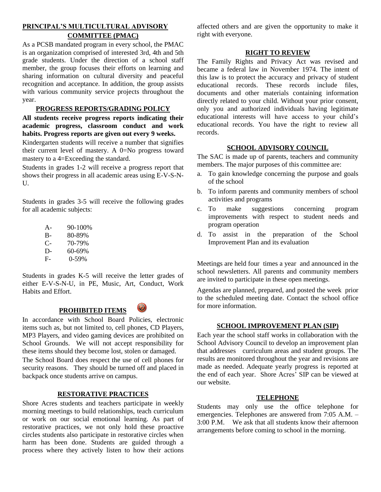# **PRINCIPAL'S MULTICULTURAL ADVISORY COMMITTEE (PMAC)**

As a PCSB mandated program in every school, the PMAC is an organization comprised of interested 3rd, 4th and 5th grade students. Under the direction of a school staff member, the group focuses their efforts on learning and sharing information on cultural diversity and peaceful recognition and acceptance. In addition, the group assists with various community service projects throughout the year.

# **PROGRESS REPORTS/GRADING POLICY**

**All students receive progress reports indicating their academic progress, classroom conduct and work habits. Progress reports are given out every 9 weeks.**

Kindergarten students will receive a number that signifies their current level of mastery. A 0=No progress toward mastery to a 4=Exceeding the standard.

Students in grades 1-2 will receive a progress report that shows their progress in all academic areas using E-V-S-N- $U$ 

Students in grades 3-5 will receive the following grades for all academic subjects:

| $A -$ | $90 - 100\%$ |
|-------|--------------|
| $B-$  | 80-89%       |
| С-    | 70-79%       |
| D-    | 60-69%       |
| $F-$  | 0-59%        |

Students in grades K-5 will receive the letter grades of either E-V-S-N-U, in PE, Music, Art, Conduct, Work Habits and Effort.



In accordance with School Board Policies, electronic items such as, but not limited to, cell phones, CD Players, MP3 Players, and video gaming devices are prohibited on School Grounds. We will not accept responsibility for these items should they become lost, stolen or damaged.

The School Board does respect the use of cell phones for security reasons. They should be turned off and placed in backpack once students arrive on campus.

# **RESTORATIVE PRACTICES**

Shore Acres students and teachers participate in weekly morning meetings to build relationships, teach curriculum or work on our social emotional learning. As part of restorative practices, we not only hold these proactive circles students also participate in restorative circles when harm has been done. Students are guided through a process where they actively listen to how their actions affected others and are given the opportunity to make it right with everyone.

# **RIGHT TO REVIEW**

The Family Rights and Privacy Act was revised and became a federal law in November 1974. The intent of this law is to protect the accuracy and privacy of student educational records. These records include files, documents and other materials containing information directly related to your child. Without your prior consent, only you and authorized individuals having legitimate educational interests will have access to your child's educational records. You have the right to review all records.

# **SCHOOL ADVISORY COUNCIL**

The SAC is made up of parents, teachers and community members. The major purposes of this committee are:

- a. To gain knowledge concerning the purpose and goals of the school
- b. To inform parents and community members of school activities and programs
- c. To make suggestions concerning program improvements with respect to student needs and program operation
- d. To assist in the preparation of the School Improvement Plan and its evaluation

Meetings are held four times a year and announced in the school newsletters. All parents and community members are invited to participate in these open meetings.

Agendas are planned, prepared, and posted the week prior to the scheduled meeting date. Contact the school office for more information.

# **SCHOOL IMPROVEMENT PLAN (SIP)**

Each year the school staff works in collaboration with the School Advisory Council to develop an improvement plan that addresses curriculum areas and student groups. The results are monitored throughout the year and revisions are made as needed. Adequate yearly progress is reported at the end of each year. Shore Acres' SIP can be viewed at our website.

# **TELEPHONE**

Students may only use the office telephone for emergencies. Telephones are answered from 7:05 A.M. – 3:00 P.M. We ask that all students know their afternoon arrangements before coming to school in the morning.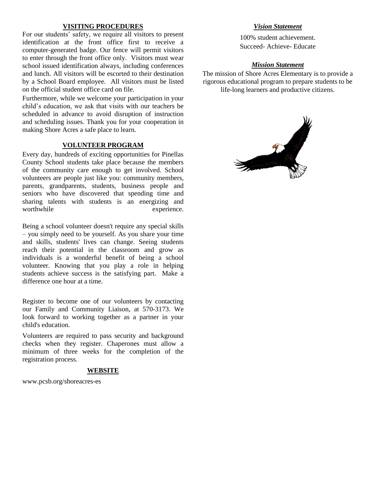### **VISITING PROCEDURES**

For our students' safety, we require all visitors to present identification at the front office first to receive a computer-generated badge. Our fence will permit visitors to enter through the front office only. Visitors must wear school issued identification always, including conferences and lunch. All visitors will be escorted to their destination by a School Board employee. All visitors must be listed on the official student office card on file.

Furthermore, while we welcome your participation in your child's education, we ask that visits with our teachers be scheduled in advance to avoid disruption of instruction and scheduling issues. Thank you for your cooperation in making Shore Acres a safe place to learn.

# **VOLUNTEER PROGRAM**

Every day, hundreds of exciting opportunities for Pinellas County School students take place because the members of the community care enough to get involved. School volunteers are people just like you: community members, parents, grandparents, students, business people and seniors who have discovered that spending time and sharing talents with students is an energizing and worthwhile experience.

Being a school volunteer doesn't require any special skills – you simply need to be yourself. As you share your time and skills, students' lives can change. Seeing students reach their potential in the classroom and grow as individuals is a wonderful benefit of being a school volunteer. Knowing that you play a role in helping students achieve success is the satisfying part. Make a difference one hour at a time.

Register to become one of our volunteers by contacting our Family and Community Liaison, at 570-3173. We look forward to working together as a partner in your child's education.

Volunteers are required to pass security and background checks when they register. Chaperones must allow a minimum of three weeks for the completion of the registration process.

#### **WEBSITE**

www.pcsb.org/shoreacres-es

# *Vision Statement*

100% student achievement. Succeed- Achieve- Educate

# *Mission Statement*

The mission of Shore Acres Elementary is to provide a rigorous educational program to prepare students to be life-long learners and productive citizens.